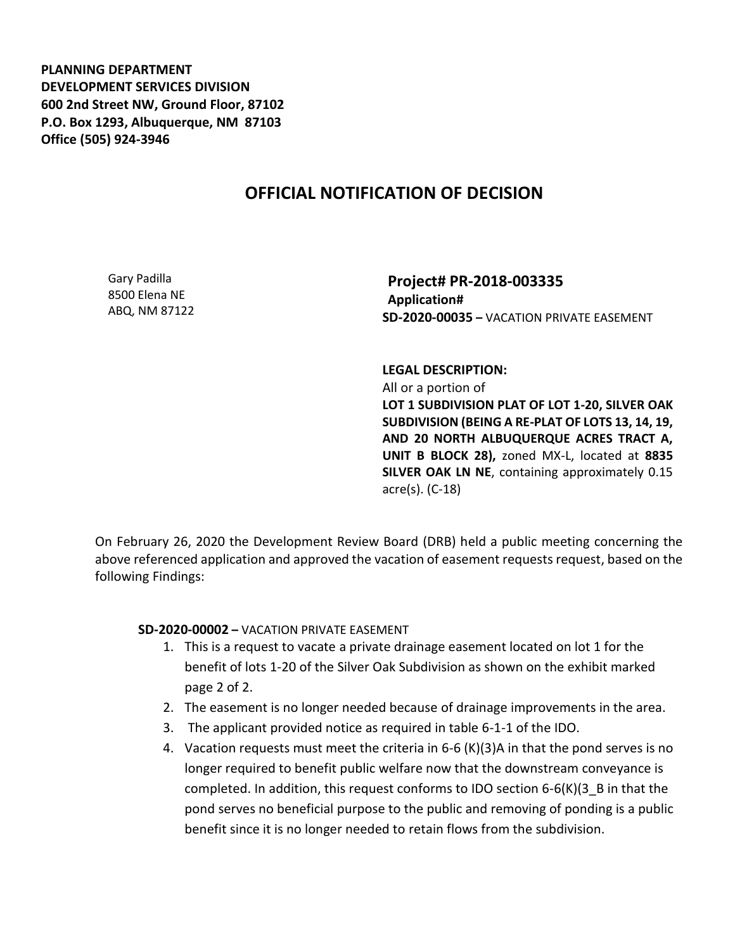**PLANNING DEPARTMENT DEVELOPMENT SERVICES DIVISION 600 2nd Street NW, Ground Floor, 87102 P.O. Box 1293, Albuquerque, NM 87103 Office (505) 924-3946** 

## **OFFICIAL NOTIFICATION OF DECISION**

Gary Padilla 8500 Elena NE ABQ, NM 87122

**Project# PR-2018-003335 Application# SD-2020-00035 –** VACATION PRIVATE EASEMENT

**LEGAL DESCRIPTION:** All or a portion of **LOT 1 SUBDIVISION PLAT OF LOT 1-20, SILVER OAK SUBDIVISION (BEING A RE-PLAT OF LOTS 13, 14, 19, AND 20 NORTH ALBUQUERQUE ACRES TRACT A, UNIT B BLOCK 28),** zoned MX-L, located at **8835 SILVER OAK LN NE**, containing approximately 0.15 acre(s). (C-18)

On February 26, 2020 the Development Review Board (DRB) held a public meeting concerning the above referenced application and approved the vacation of easement requests request, based on the following Findings:

**SD-2020-00002 –** VACATION PRIVATE EASEMENT

- 1. This is a request to vacate a private drainage easement located on lot 1 for the benefit of lots 1-20 of the Silver Oak Subdivision as shown on the exhibit marked page 2 of 2.
- 2. The easement is no longer needed because of drainage improvements in the area.
- 3. The applicant provided notice as required in table 6-1-1 of the IDO.
- 4. Vacation requests must meet the criteria in 6-6 (K)(3)A in that the pond serves is no longer required to benefit public welfare now that the downstream conveyance is completed. In addition, this request conforms to IDO section  $6-6(K)(3-B)$  in that the pond serves no beneficial purpose to the public and removing of ponding is a public benefit since it is no longer needed to retain flows from the subdivision.